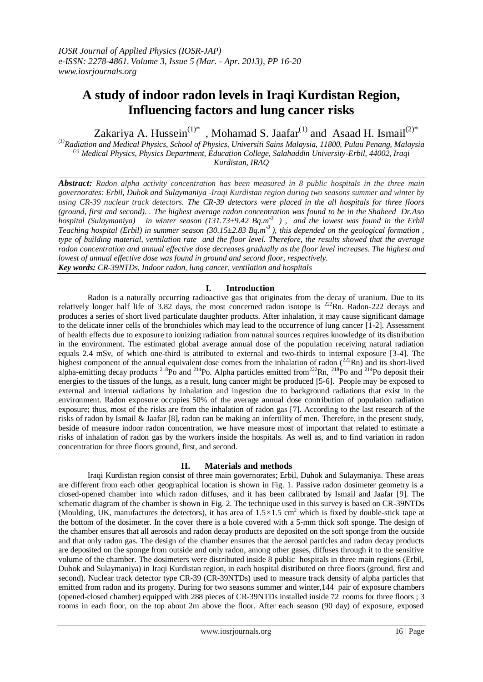# **A study of indoor radon levels in Iraqi Kurdistan Region, Influencing factors and lung cancer risks**

Zakariya A. Hussein<sup>(1)\*</sup>, Mohamad S. Jaafar<sup>(1)</sup> and Asaad H. Ismail<sup>(2)\*</sup>

(*1)Radiation and Medical Physics, School of Physics, Universiti Sains Malaysia, 11800, Pulau Penang, Malaysia (2) Medical Physics, Physics Department, Education College, Salahaddin University-Erbil, 44002, Iraqi Kurdistan, IRAQ*

*Abstract: Radon alpha activity concentration has been measured in 8 public hospitals in the three main governorates: Erbil, Duhok and Sulaymaniya -Iraqi Kurdistan region during two seasons summer and winter by using CR-39 nuclear track detectors. The CR-39 detectors were placed in the all hospitals for three floors (ground, first and second). . The highest average radon concentration was found to be in the Shaheed Dr.Aso hospital (Sulaymaniya) in winter season (131.73±9.42 Bq.m-3 ) , and the lowest was found in the Erbil Teaching hospital (Erbil) in summer season (30.15±2.83 Bq.m-3 ), this depended on the geological formation , type of building material, ventilation rate and the floor level. Therefore, the results showed that the average radon concentration and annual effective dose decreases gradually as the floor level increases. The highest and lowest of annual effective dose was found in ground and second floor, respectively. Key words: CR-39NTDs, Indoor radon, lung cancer, ventilation and hospitals* 

## **I. Introduction**

 Radon is a naturally occurring radioactive gas that originates from the decay of uranium. Due to its relatively longer half life of 3.82 days, the most concerned radon isotope is  $^{222}$ Rn. Radon-222 decays and produces a series of short lived particulate daughter products. After inhalation, it may cause significant damage to the delicate inner cells of the bronchioles which may lead to the occurrence of lung cancer [1-2]. Assessment of health effects due to exposure to ionizing radiation from natural sources requires knowledge of its distribution in the environment. The estimated global average annual dose of the population receiving natural radiation equals 2.4 mSv, of which one-third is attributed to external and two-thirds to internal exposure [3-4]. The highest component of the annual equivalent dose comes from the inhalation of radon  $(^{222}Rn)$  and its short-lived alpha-emitting decay products <sup>218</sup>Po and <sup>214</sup>Po. Alpha particles emitted from<sup>222</sup>Rn, <sup>218</sup>Po and <sup>214</sup>Po deposit their energies to the tissues of the lungs, as a result, lung cancer might be produced [5-6]. People may be exposed to external and internal radiations by inhalation and ingestion due to background radiations that exist in the environment. Radon exposure occupies 50% of the average annual dose contribution of population radiation exposure; thus, most of the risks are from the inhalation of radon gas [7]. According to the last research of the risks of radon by Ismail & Jaafar [8], radon can be making an infertility of men. Therefore, in the present study, beside of measure indoor radon concentration, we have measure most of important that related to estimate a risks of inhalation of radon gas by the workers inside the hospitals. As well as, and to find variation in radon concentration for three floors ground, first, and second.

## **II. Materials and methods**

 Iraqi Kurdistan region consist of three main governorates; Erbil, Duhok and Sulaymaniya. These areas are different from each other geographical location is shown in Fig. 1. Passive radon dosimeter geometry is a closed-opened chamber into which radon diffuses, and it has been calibrated by Ismail and Jaafar [9]. The schematic diagram of the chamber is shown in Fig. 2. The technique used in this survey is based on CR-39NTDs (Moulding, UK, manufactures the detectors), it has area of  $1.5 \times 1.5$  cm<sup>2</sup> which is fixed by double-stick tape at the bottom of the dosimeter. In the cover there is a hole covered with a 5-mm thick soft sponge. The design of the chamber ensures that all aerosols and radon decay products are deposited on the soft sponge from the outside and that only radon gas. The design of the chamber ensures that the aerosol particles and radon decay products are deposited on the sponge from outside and only radon, among other gases, diffuses through it to the sensitive volume of the chamber. The dosimeters were distributed inside 8 public hospitals in three main regions (Erbil, Duhok and Sulaymaniya) in Iraqi Kurdistan region, in each hospital distributed on three floors (ground, first and second). Nuclear track detector type CR-39 (CR-39NTDs) used to measure track density of alpha particles that emitted from radon and its progeny. During for two seasons summer and winter,144 pair of exposure chambers (opened-closed chamber) equipped with 288 pieces of CR-39NTDs installed inside 72 rooms for three floors ; 3 rooms in each floor, on the top about 2m above the floor. After each season (90 day) of exposure, exposed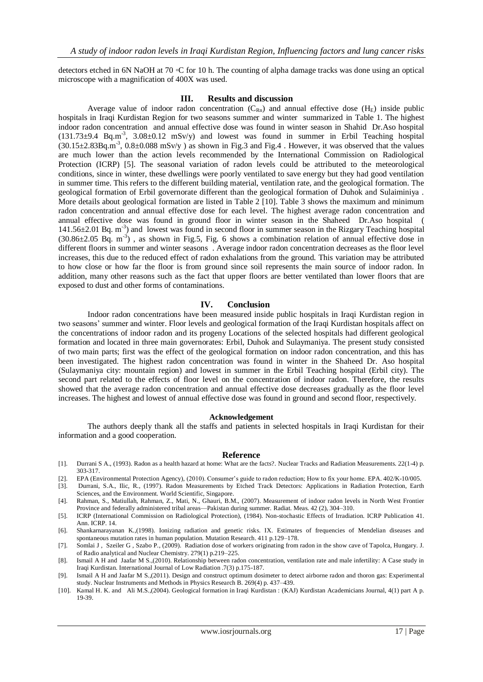detectors etched in 6N NaOH at 70 ◦C for 10 h. The counting of alpha damage tracks was done using an optical microscope with a magnification of 400X was used.

#### **III. Results and discussion**

Average value of indoor radon concentration  $(C_{Rn})$  and annual effective dose  $(H_E)$  inside public hospitals in Iraqi Kurdistan Region for two seasons summer and winter summarized in Table 1. The highest indoor radon concentration and annual effective dose was found in winter season in Shahid Dr.Aso hospital  $(131.73\pm9.4 \text{ Bq.m}^3, 3.08\pm0.12 \text{ mSv/y})$  and lowest was found in summer in Erbil Teaching hospital  $(30.15\pm2.83\text{Bq.m}^3, 0.8\pm0.088 \text{ mSv/y})$  as shown in Fig.3 and Fig.4. However, it was observed that the values are much lower than the action levels recommended by the International Commission on Radiological Protection (ICRP) [5]. The seasonal variation of radon levels could be attributed to the meteorological conditions, since in winter, these dwellings were poorly ventilated to save energy but they had good ventilation in summer time. This refers to the different building material, ventilation rate, and the geological formation. The geological formation of Erbil governorate different than the geological formation of Duhok and Sulaiminiya . More details about geological formation are listed in Table 2 [10]. Table 3 shows the maximum and minimum radon concentration and annual effective dose for each level. The highest average radon concentration and annual effective dose was found in ground floor in winter season in the Shaheed Dr.Aso hospital ( 141.56±2.01 Bq. m-3 ) and lowest was found in second floor in summer season in the Rizgary Teaching hospital  $(30.86\pm2.05 \text{ Bq. m}^{-3})$ , as shown in Fig.5, Fig. 6 shows a combination relation of annual effective dose in different floors in summer and winter seasons . Average indoor radon concentration decreases as the floor level increases, this due to the reduced effect of radon exhalations from the ground. This variation may be attributed to how close or how far the floor is from ground since soil represents the main source of indoor radon. In addition, many other reasons such as the fact that upper floors are better ventilated than lower floors that are exposed to dust and other forms of contaminations.

### **IV. Conclusion**

 Indoor radon concentrations have been measured inside public hospitals in Iraqi Kurdistan region in two seasons' summer and winter. Floor levels and geological formation of the Iraqi Kurdistan hospitals affect on the concentrations of indoor radon and its progeny Locations of the selected hospitals had different geological formation and located in three main governorates: Erbil, Duhok and Sulaymaniya. The present study consisted of two main parts; first was the effect of the geological formation on indoor radon concentration, and this has been investigated. The highest radon concentration was found in winter in the Shaheed Dr. Aso hospital (Sulaymaniya city: mountain region) and lowest in summer in the Erbil Teaching hospital (Erbil city). The second part related to the effects of floor level on the concentration of indoor radon. Therefore, the results showed that the average radon concentration and annual effective dose decreases gradually as the floor level increases. The highest and lowest of annual effective dose was found in ground and second floor, respectively.

#### **Acknowledgement**

The authors deeply thank all the staffs and patients in selected hospitals in Iraqi Kurdistan for their information and a good cooperation.

#### **Reference**

- [1]. Durrani S A., (1993). Radon as a health hazard at home: What are the facts?. Nuclear Tracks and Radiation Measurements. 22(1-4) p. 303-317.
- [2]. EPA (Environmental Protection Agency), (2010). Consumer's guide to radon reduction; How to fix your home. EPA. 402/K-10/005.
- [3]. Durrani, S.A., Ilic, R., (1997). Radon Measurements by Etched Track Detectors: Applications in Radiation Protection, Earth Sciences, and the Environment. World Scientific, Singapore.
- [4]. Rahman, S., Matiullah, Rahman, Z., Mati, N., Ghauri, B.M., (2007). Measurement of indoor radon levels in North West Frontier Province and federally administered tribal areas—Pakistan during summer. Radiat. Meas. 42 (2), 304–310.
- [5]. ICRP (International Commission on Radiological Protection), (1984). Non-stochastic Effects of Irradiation. ICRP Publication 41. Ann. ICRP. 14.
- [6]. Shankarnarayanan K.,(1998). Ionizing radiation and genetic risks. IX. Estimates of frequencies of Mendelian diseases and spontaneous mutation rates in human population. Mutation Research. 411 p.129–178.
- [7]. Somlai J , Szeiler G , Szabo P., (2009). Radiation dose of workers originating from radon in the show cave of Tapolca, Hungary. J. of Radio analytical and Nuclear Chemistry. 279(1) p.219–225.
- [8]. Ismail A H and Jaafar M S.,(2010). Relationship between radon concentration, ventilation rate and male infertility: A Case study in Iraqi Kurdistan. International Journal of Low Radiation .7(3) p.175-187.
- [9]. Ismail A H and Jaafar M S.,(2011). Design and construct optimum dosimeter to detect airborne radon and thoron gas: Experimental study. Nuclear Instruments and Methods in Physics Research B. 269(4) p. 437–439.
- [10]. Kamal H. K. and Ali M.S.,(2004). Geological formation in Iraqi Kurdistan : (KAJ) Kurdistan Academicians Journal, 4(1) part A p. 19-39.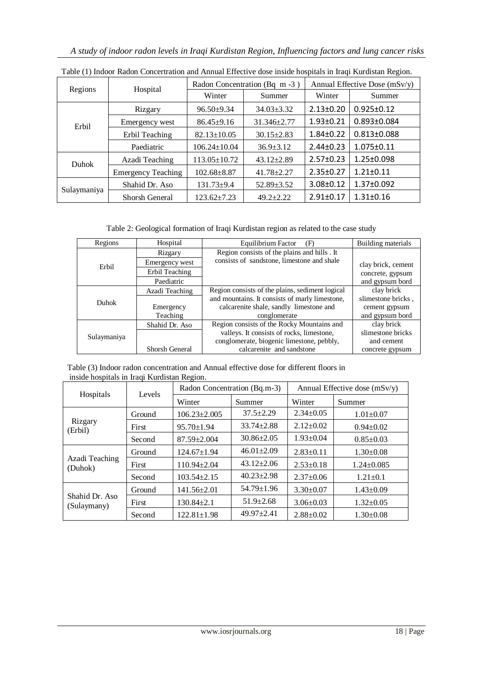| Regions      | Hospital                  | Radon Concentration (Bq m -3) |                   | Annual Effective Dose (mSv/y) |                   |
|--------------|---------------------------|-------------------------------|-------------------|-------------------------------|-------------------|
|              |                           | Winter                        | Summer            | Winter                        | Summer            |
| Erbil        | Rizgary                   | $96.50+9.34$                  | $34.03 \pm 3.32$  | $2.13 \pm 0.20$               | $0.925 \pm 0.12$  |
|              | Emergency west            | $86.45+9.16$                  | $31.346 \pm 2.77$ | $1.93 \pm 0.21$               | $0.893 \pm 0.084$ |
|              | Erbil Teaching            | $82.13 \pm 10.05$             | $30.15 \pm 2.83$  | $1.84 \pm 0.22$               | $0.813 \pm 0.088$ |
|              | Paediatric                | $106.24 \pm 10.04$            | $36.9 \pm 3.12$   | $2.44 \pm 0.23$               | $1.075 \pm 0.11$  |
| <b>Duhok</b> | Azadi Teaching            | $113.05 \pm 10.72$            | $43.12 \pm 2.89$  | $2.57 \pm 0.23$               | $1.25 \pm 0.098$  |
|              | <b>Emergency Teaching</b> | $102.68 \pm 8.87$             | $41.78 \pm 2.27$  | $2.35 \pm 0.27$               | $1.21 \pm 0.11$   |
| Sulaymaniya  | Shahid Dr. Aso            | $131.73 + 9.4$                | $52.89 \pm 3.52$  | $3.08 \pm 0.12$               | $1.37 \pm 0.092$  |
|              | Shorsh General            | $123.62+7.23$                 | $49.2 + 2.22$     | $2.91 \pm 0.17$               | $1.31 \pm 0.16$   |

Table (1) Indoor Radon Concertration and Annual Effective dose inside hospitals in Iraqi Kurdistan Region.

Table 2: Geological formation of Iraqi Kurdistan region as related to the case study

| Regions     | Hospital       | Equilibrium Factor<br>(F)                       | Building materials |
|-------------|----------------|-------------------------------------------------|--------------------|
|             | Rizgary        | Region consists of the plains and hills . It    |                    |
| Erbil       | Emergency west | consists of sandstone, limestone and shale      | clay brick, cement |
|             | Erbil Teaching |                                                 | concrete, gypsum   |
|             | Paediatric     |                                                 | and gypsum bord    |
|             | Azadi Teaching | Region consists of the plains, sediment logical | clay brick         |
| Duhok       |                | and mountains. It consists of marly limestone,  | slimestone bricks, |
|             | Emergency      | calcarenite shale, sandly limestone and         | cement gypsum      |
|             | Teaching       | conglomerate                                    | and gypsum bord    |
|             | Shahid Dr. Aso | Region consists of the Rocky Mountains and      | clay brick         |
| Sulaymaniya |                | valleys. It consists of rocks, limestone,       | slimestone bricks  |
|             |                | conglomerate, biogenic limestone, pebbly,       | and cement         |
|             | Shorsh General | calcarenite and sandstone                       | concrete gypsum    |

Table (3) Indoor radon concentration and Annual effective dose for different floors in inside hospitals in Iraqi Kurdistan Region.

| Hospitals                     | Levels | Radon Concentration (Bq.m-3) |                  | Annual Effective dose $(mSv/y)$ |                  |
|-------------------------------|--------|------------------------------|------------------|---------------------------------|------------------|
|                               |        | Winter                       | Summer           | Winter                          | Summer           |
| Rizgary<br>(Erbil)            | Ground | $106.23 \pm 2.005$           | $37.5 \pm 2.29$  | $2.34 \pm 0.05$                 | $1.01 \pm 0.07$  |
|                               | First  | $95.70 \pm 1.94$             | $33.74 \pm 2.88$ | $2.12 \pm 0.02$                 | $0.94 \pm 0.02$  |
|                               | Second | $87.59 \pm 2.004$            | $30.86 \pm 2.05$ | $1.93 \pm 0.04$                 | $0.85 \pm 0.03$  |
|                               | Ground | $124.67 \pm 1.94$            | $46.01 \pm 2.09$ | $2.83 \pm 0.11$                 | $1.30 \pm 0.08$  |
| Azadi Teaching<br>(Duhok)     | First  | $110.94 \pm 2.04$            | $43.12 \pm 2.06$ | $2.53 \pm 0.18$                 | $1.24 \pm 0.085$ |
|                               | Second | $103.54 \pm 2.15$            | $40.23 \pm 2.98$ | $2.37 \pm 0.06$                 | $1.21 \pm 0.1$   |
|                               | Ground | $141.56 \pm 2.01$            | $54.79 \pm 1.96$ | $3.30\pm0.07$                   | $1.43 \pm 0.09$  |
| Shahid Dr. Aso<br>(Sulaymany) | First  | $130.84 \pm 2.1$             | $51.9 \pm 2.68$  | $3.06 \pm 0.03$                 | $1.32 \pm 0.05$  |
|                               | Second | $122.81 \pm 1.98$            | $49.97 + 2.41$   | $2.88 \pm 0.02$                 | $1.30 \pm 0.08$  |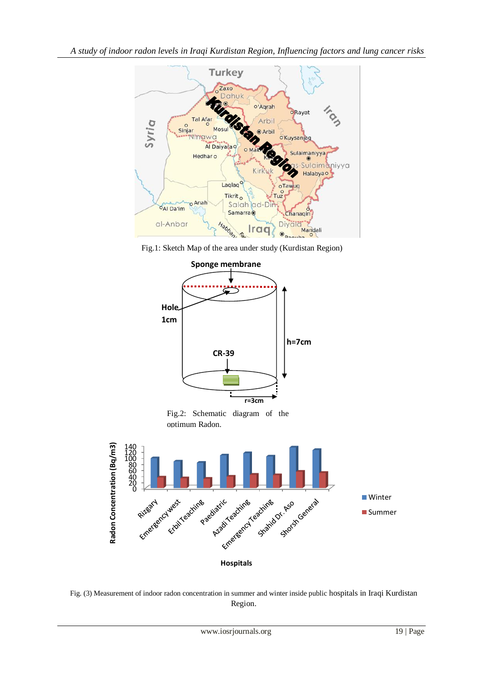

Fig.1: Sketch Map of the area under study (Kurdistan Region)



Fig.2: Schematic diagram of the optimum Radon.



Fig. (3) Measurement of indoor radon concentration in summer and winter inside public hospitals in Iraqi Kurdistan Region.